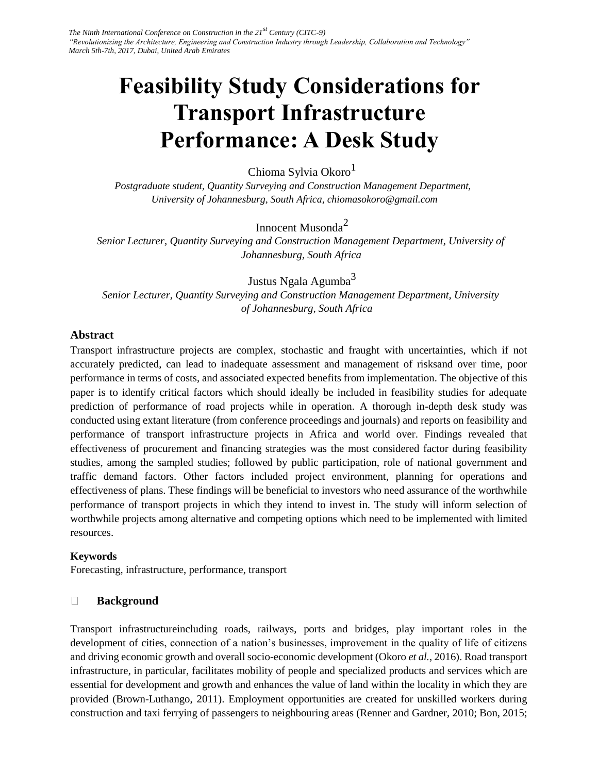# **Feasibility Study Considerations for Transport Infrastructure Performance: A Desk Study**

Chioma Sylvia Okoro<sup>1</sup>

*Postgraduate student, Quantity Surveying and Construction Management Department, University of Johannesburg, South Africa, chiomasokoro@gmail.com* 

Innocent Musonda<sup>2</sup>

*Senior Lecturer, Quantity Surveying and Construction Management Department, University of Johannesburg, South Africa* 

Justus Ngala Agumba<sup>3</sup>

*Senior Lecturer, Quantity Surveying and Construction Management Department, University of Johannesburg, South Africa* 

### **Abstract**

Transport infrastructure projects are complex, stochastic and fraught with uncertainties, which if not accurately predicted, can lead to inadequate assessment and management of risksand over time, poor performance in terms of costs, and associated expected benefits from implementation. The objective of this paper is to identify critical factors which should ideally be included in feasibility studies for adequate prediction of performance of road projects while in operation. A thorough in-depth desk study was conducted using extant literature (from conference proceedings and journals) and reports on feasibility and performance of transport infrastructure projects in Africa and world over. Findings revealed that effectiveness of procurement and financing strategies was the most considered factor during feasibility studies, among the sampled studies; followed by public participation, role of national government and traffic demand factors. Other factors included project environment, planning for operations and effectiveness of plans. These findings will be beneficial to investors who need assurance of the worthwhile performance of transport projects in which they intend to invest in. The study will inform selection of worthwhile projects among alternative and competing options which need to be implemented with limited resources.

### **Keywords**

Forecasting, infrastructure, performance, transport

#### $\Box$ **Background**

Transport infrastructureincluding roads, railways, ports and bridges, play important roles in the development of cities, connection of a nation's businesses, improvement in the quality of life of citizens and driving economic growth and overall socio-economic development (Okoro *et al.*, 2016). Road transport infrastructure, in particular, facilitates mobility of people and specialized products and services which are essential for development and growth and enhances the value of land within the locality in which they are provided (Brown-Luthango, 2011). Employment opportunities are created for unskilled workers during construction and taxi ferrying of passengers to neighbouring areas (Renner and Gardner, 2010; Bon, 2015;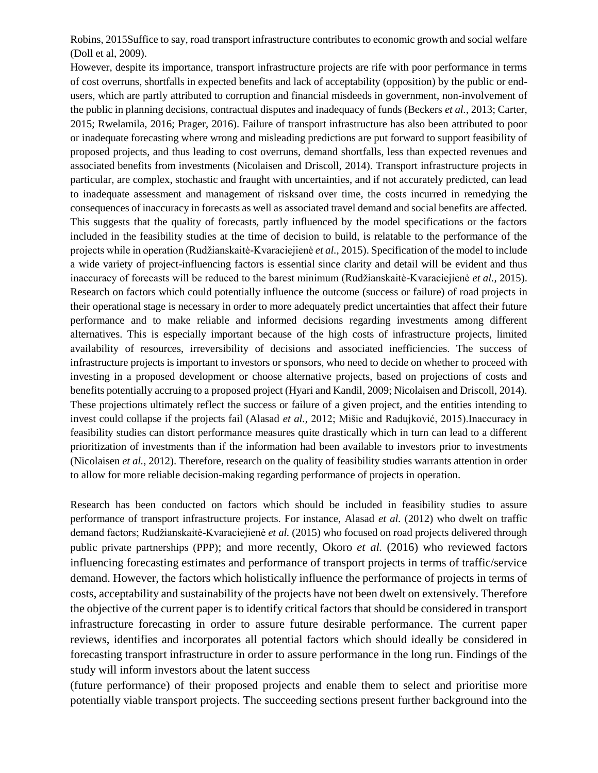Robins, 2015Suffice to say, road transport infrastructure contributes to economic growth and social welfare (Doll et al, 2009).

However, despite its importance, transport infrastructure projects are rife with poor performance in terms of cost overruns, shortfalls in expected benefits and lack of acceptability (opposition) by the public or endusers, which are partly attributed to corruption and financial misdeeds in government, non-involvement of the public in planning decisions, contractual disputes and inadequacy of funds (Beckers *et al.*, 2013; Carter, 2015; Rwelamila, 2016; Prager, 2016). Failure of transport infrastructure has also been attributed to poor or inadequate forecasting where wrong and misleading predictions are put forward to support feasibility of proposed projects, and thus leading to cost overruns, demand shortfalls, less than expected revenues and associated benefits from investments (Nicolaisen and Driscoll, 2014). Transport infrastructure projects in particular, are complex, stochastic and fraught with uncertainties, and if not accurately predicted, can lead to inadequate assessment and management of risksand over time, the costs incurred in remedying the consequences of inaccuracy in forecasts as well as associated travel demand and social benefits are affected. This suggests that the quality of forecasts, partly influenced by the model specifications or the factors included in the feasibility studies at the time of decision to build, is relatable to the performance of the projects while in operation (Rudžianskaitė-Kvaraciejienė *et al.,* 2015). Specification of the model to include a wide variety of project-influencing factors is essential since clarity and detail will be evident and thus inaccuracy of forecasts will be reduced to the barest minimum (Rudžianskaitė-Kvaraciejienė *et al.*, 2015). Research on factors which could potentially influence the outcome (success or failure) of road projects in their operational stage is necessary in order to more adequately predict uncertainties that affect their future performance and to make reliable and informed decisions regarding investments among different alternatives. This is especially important because of the high costs of infrastructure projects, limited availability of resources, irreversibility of decisions and associated inefficiencies. The success of infrastructure projects is important to investors or sponsors, who need to decide on whether to proceed with investing in a proposed development or choose alternative projects, based on projections of costs and benefits potentially accruing to a proposed project (Hyari and Kandil, 2009; Nicolaisen and Driscoll, 2014). These projections ultimately reflect the success or failure of a given project, and the entities intending to invest could collapse if the projects fail (Alasad *et al.*, 2012; Mišic and Radujković, 2015).Inaccuracy in feasibility studies can distort performance measures quite drastically which in turn can lead to a different prioritization of investments than if the information had been available to investors prior to investments (Nicolaisen *et al.*, 2012). Therefore, research on the quality of feasibility studies warrants attention in order to allow for more reliable decision-making regarding performance of projects in operation.

Research has been conducted on factors which should be included in feasibility studies to assure performance of transport infrastructure projects. For instance, Alasad *et al.* (2012) who dwelt on traffic demand factors; Rudžianskaitė-Kvaraciejienė *et al.* (2015) who focused on road projects delivered through public private partnerships (PPP); and more recently, Okoro *et al.* (2016) who reviewed factors influencing forecasting estimates and performance of transport projects in terms of traffic/service demand. However, the factors which holistically influence the performance of projects in terms of costs, acceptability and sustainability of the projects have not been dwelt on extensively. Therefore the objective of the current paper is to identify critical factors that should be considered in transport infrastructure forecasting in order to assure future desirable performance. The current paper reviews, identifies and incorporates all potential factors which should ideally be considered in forecasting transport infrastructure in order to assure performance in the long run. Findings of the study will inform investors about the latent success

(future performance) of their proposed projects and enable them to select and prioritise more potentially viable transport projects. The succeeding sections present further background into the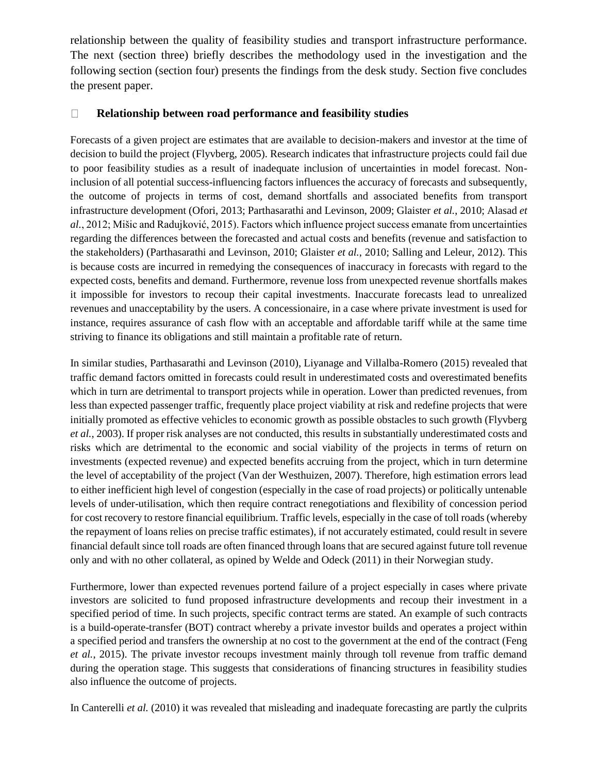relationship between the quality of feasibility studies and transport infrastructure performance. The next (section three) briefly describes the methodology used in the investigation and the following section (section four) presents the findings from the desk study. Section five concludes the present paper.

#### $\Box$ **Relationship between road performance and feasibility studies**

Forecasts of a given project are estimates that are available to decision-makers and investor at the time of decision to build the project (Flyvberg, 2005). Research indicates that infrastructure projects could fail due to poor feasibility studies as a result of inadequate inclusion of uncertainties in model forecast. Noninclusion of all potential success-influencing factors influences the accuracy of forecasts and subsequently, the outcome of projects in terms of cost, demand shortfalls and associated benefits from transport infrastructure development (Ofori, 2013; Parthasarathi and Levinson, 2009; Glaister *et al.*, 2010; Alasad *et al.*, 2012; Mišic and Radujković, 2015). Factors which influence project success emanate from uncertainties regarding the differences between the forecasted and actual costs and benefits (revenue and satisfaction to the stakeholders) (Parthasarathi and Levinson, 2010; Glaister *et al.*, 2010; Salling and Leleur, 2012). This is because costs are incurred in remedying the consequences of inaccuracy in forecasts with regard to the expected costs, benefits and demand. Furthermore, revenue loss from unexpected revenue shortfalls makes it impossible for investors to recoup their capital investments. Inaccurate forecasts lead to unrealized revenues and unacceptability by the users. A concessionaire, in a case where private investment is used for instance, requires assurance of cash flow with an acceptable and affordable tariff while at the same time striving to finance its obligations and still maintain a profitable rate of return.

In similar studies, Parthasarathi and Levinson (2010), Liyanage and Villalba-Romero (2015) revealed that traffic demand factors omitted in forecasts could result in underestimated costs and overestimated benefits which in turn are detrimental to transport projects while in operation. Lower than predicted revenues, from less than expected passenger traffic, frequently place project viability at risk and redefine projects that were initially promoted as effective vehicles to economic growth as possible obstacles to such growth (Flyvberg *et al.*, 2003). If proper risk analyses are not conducted, this results in substantially underestimated costs and risks which are detrimental to the economic and social viability of the projects in terms of return on investments (expected revenue) and expected benefits accruing from the project, which in turn determine the level of acceptability of the project (Van der Westhuizen, 2007). Therefore, high estimation errors lead to either inefficient high level of congestion (especially in the case of road projects) or politically untenable levels of under-utilisation, which then require contract renegotiations and flexibility of concession period for cost recovery to restore financial equilibrium. Traffic levels, especially in the case of toll roads (whereby the repayment of loans relies on precise traffic estimates), if not accurately estimated, could result in severe financial default since toll roads are often financed through loans that are secured against future toll revenue only and with no other collateral, as opined by Welde and Odeck (2011) in their Norwegian study.

Furthermore, lower than expected revenues portend failure of a project especially in cases where private investors are solicited to fund proposed infrastructure developments and recoup their investment in a specified period of time. In such projects, specific contract terms are stated. An example of such contracts is a build-operate-transfer (BOT) contract whereby a private investor builds and operates a project within a specified period and transfers the ownership at no cost to the government at the end of the contract (Feng *et al.*, 2015). The private investor recoups investment mainly through toll revenue from traffic demand during the operation stage. This suggests that considerations of financing structures in feasibility studies also influence the outcome of projects.

In Canterelli *et al.* (2010) it was revealed that misleading and inadequate forecasting are partly the culprits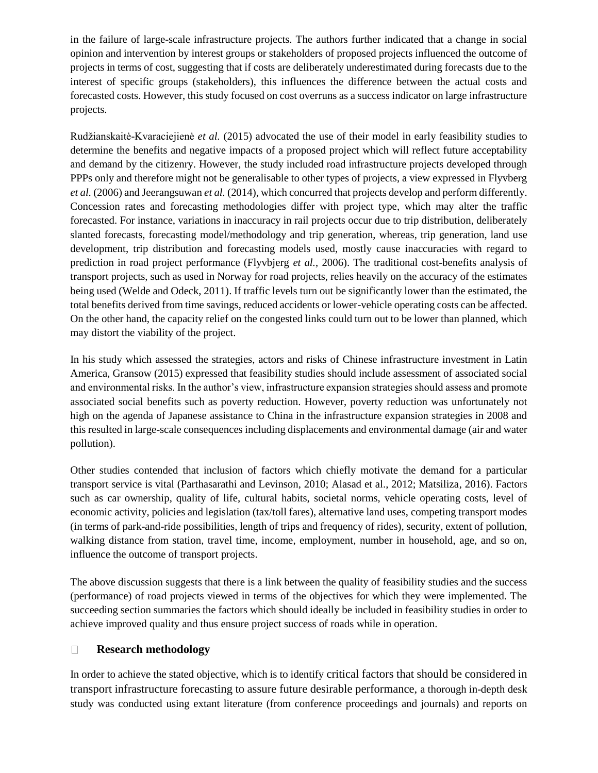in the failure of large-scale infrastructure projects. The authors further indicated that a change in social opinion and intervention by interest groups or stakeholders of proposed projects influenced the outcome of projects in terms of cost, suggesting that if costs are deliberately underestimated during forecasts due to the interest of specific groups (stakeholders), this influences the difference between the actual costs and forecasted costs. However, this study focused on cost overruns as a success indicator on large infrastructure projects.

Rudžianskaitė-Kvaraciejienė *et al.* (2015) advocated the use of their model in early feasibility studies to determine the benefits and negative impacts of a proposed project which will reflect future acceptability and demand by the citizenry. However, the study included road infrastructure projects developed through PPPs only and therefore might not be generalisable to other types of projects, a view expressed in Flyvberg *et al.* (2006) and Jeerangsuwan *et al.* (2014), which concurred that projects develop and perform differently. Concession rates and forecasting methodologies differ with project type, which may alter the traffic forecasted. For instance, variations in inaccuracy in rail projects occur due to trip distribution, deliberately slanted forecasts, forecasting model/methodology and trip generation, whereas, trip generation, land use development, trip distribution and forecasting models used, mostly cause inaccuracies with regard to prediction in road project performance (Flyvbjerg *et al.*, 2006). The traditional cost-benefits analysis of transport projects, such as used in Norway for road projects, relies heavily on the accuracy of the estimates being used (Welde and Odeck, 2011). If traffic levels turn out be significantly lower than the estimated, the total benefits derived from time savings, reduced accidents or lower-vehicle operating costs can be affected. On the other hand, the capacity relief on the congested links could turn out to be lower than planned, which may distort the viability of the project.

In his study which assessed the strategies, actors and risks of Chinese infrastructure investment in Latin America, Gransow (2015) expressed that feasibility studies should include assessment of associated social and environmental risks. In the author's view, infrastructure expansion strategies should assess and promote associated social benefits such as poverty reduction. However, poverty reduction was unfortunately not high on the agenda of Japanese assistance to China in the infrastructure expansion strategies in 2008 and this resulted in large-scale consequences including displacements and environmental damage (air and water pollution).

Other studies contended that inclusion of factors which chiefly motivate the demand for a particular transport service is vital (Parthasarathi and Levinson, 2010; Alasad et al., 2012; Matsiliza, 2016). Factors such as car ownership, quality of life, cultural habits, societal norms, vehicle operating costs, level of economic activity, policies and legislation (tax/toll fares), alternative land uses, competing transport modes (in terms of park-and-ride possibilities, length of trips and frequency of rides), security, extent of pollution, walking distance from station, travel time, income, employment, number in household, age, and so on, influence the outcome of transport projects.

The above discussion suggests that there is a link between the quality of feasibility studies and the success (performance) of road projects viewed in terms of the objectives for which they were implemented. The succeeding section summaries the factors which should ideally be included in feasibility studies in order to achieve improved quality and thus ensure project success of roads while in operation.

#### **Research methodology**  $\Box$

In order to achieve the stated objective, which is to identify critical factors that should be considered in transport infrastructure forecasting to assure future desirable performance, a thorough in-depth desk study was conducted using extant literature (from conference proceedings and journals) and reports on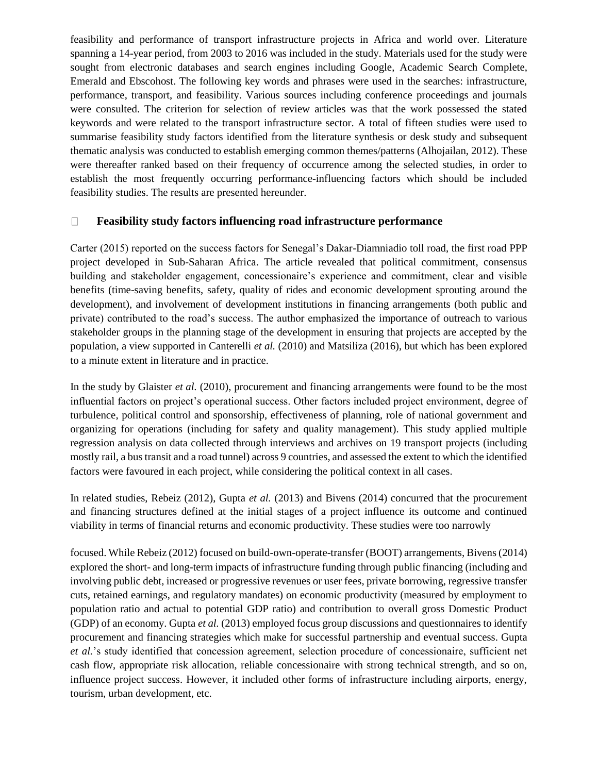feasibility and performance of transport infrastructure projects in Africa and world over. Literature spanning a 14-year period, from 2003 to 2016 was included in the study. Materials used for the study were sought from electronic databases and search engines including Google, Academic Search Complete, Emerald and Ebscohost. The following key words and phrases were used in the searches: infrastructure, performance, transport, and feasibility. Various sources including conference proceedings and journals were consulted. The criterion for selection of review articles was that the work possessed the stated keywords and were related to the transport infrastructure sector. A total of fifteen studies were used to summarise feasibility study factors identified from the literature synthesis or desk study and subsequent thematic analysis was conducted to establish emerging common themes/patterns (Alhojailan, 2012). These were thereafter ranked based on their frequency of occurrence among the selected studies, in order to establish the most frequently occurring performance-influencing factors which should be included feasibility studies. The results are presented hereunder.

#### **Feasibility study factors influencing road infrastructure performance**  $\Box$

Carter (2015) reported on the success factors for Senegal's Dakar-Diamniadio toll road, the first road PPP project developed in Sub-Saharan Africa. The article revealed that political commitment, consensus building and stakeholder engagement, concessionaire's experience and commitment, clear and visible benefits (time-saving benefits, safety, quality of rides and economic development sprouting around the development), and involvement of development institutions in financing arrangements (both public and private) contributed to the road's success. The author emphasized the importance of outreach to various stakeholder groups in the planning stage of the development in ensuring that projects are accepted by the population, a view supported in Canterelli *et al.* (2010) and Matsiliza (2016), but which has been explored to a minute extent in literature and in practice.

In the study by Glaister *et al.* (2010), procurement and financing arrangements were found to be the most influential factors on project's operational success. Other factors included project environment, degree of turbulence, political control and sponsorship, effectiveness of planning, role of national government and organizing for operations (including for safety and quality management). This study applied multiple regression analysis on data collected through interviews and archives on 19 transport projects (including mostly rail, a bus transit and a road tunnel) across 9 countries, and assessed the extent to which the identified factors were favoured in each project, while considering the political context in all cases.

In related studies, Rebeiz (2012), Gupta *et al.* (2013) and Bivens (2014) concurred that the procurement and financing structures defined at the initial stages of a project influence its outcome and continued viability in terms of financial returns and economic productivity. These studies were too narrowly

focused. While Rebeiz (2012) focused on build-own-operate-transfer (BOOT) arrangements, Bivens (2014) explored the short- and long-term impacts of infrastructure funding through public financing (including and involving public debt, increased or progressive revenues or user fees, private borrowing, regressive transfer cuts, retained earnings, and regulatory mandates) on economic productivity (measured by employment to population ratio and actual to potential GDP ratio) and contribution to overall gross Domestic Product (GDP) of an economy. Gupta *et al.* (2013) employed focus group discussions and questionnaires to identify procurement and financing strategies which make for successful partnership and eventual success. Gupta *et al.*'s study identified that concession agreement, selection procedure of concessionaire, sufficient net cash flow, appropriate risk allocation, reliable concessionaire with strong technical strength, and so on, influence project success. However, it included other forms of infrastructure including airports, energy, tourism, urban development, etc.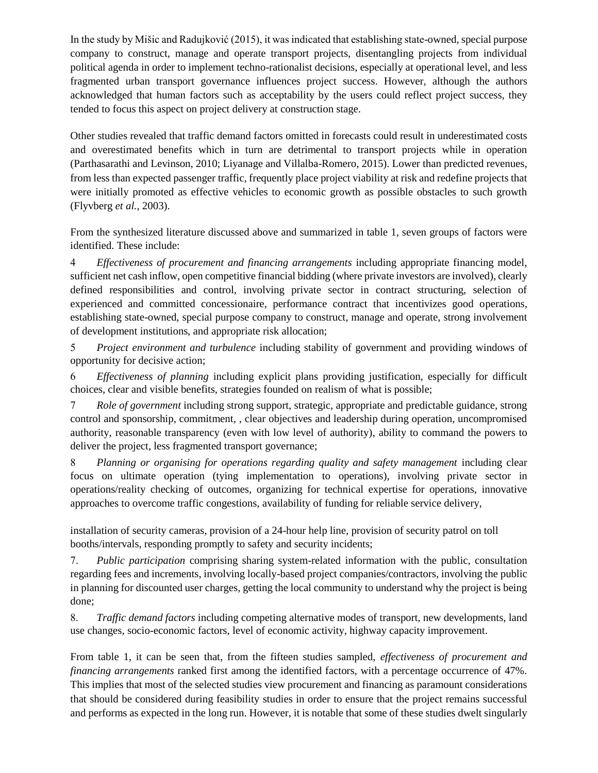In the study by Mišic and Radujković (2015), it was indicated that establishing state-owned, special purpose company to construct, manage and operate transport projects, disentangling projects from individual political agenda in order to implement techno-rationalist decisions, especially at operational level, and less fragmented urban transport governance influences project success. However, although the authors acknowledged that human factors such as acceptability by the users could reflect project success, they tended to focus this aspect on project delivery at construction stage.

Other studies revealed that traffic demand factors omitted in forecasts could result in underestimated costs and overestimated benefits which in turn are detrimental to transport projects while in operation (Parthasarathi and Levinson, 2010; Liyanage and Villalba-Romero, 2015). Lower than predicted revenues, from less than expected passenger traffic, frequently place project viability at risk and redefine projects that were initially promoted as effective vehicles to economic growth as possible obstacles to such growth (Flyvberg *et al.*, 2003).

From the synthesized literature discussed above and summarized in table 1, seven groups of factors were identified. These include:

 *Effectiveness of procurement and financing arrangements* including appropriate financing model, sufficient net cash inflow, open competitive financial bidding (where private investors are involved), clearly defined responsibilities and control, involving private sector in contract structuring, selection of experienced and committed concessionaire, performance contract that incentivizes good operations, establishing state-owned, special purpose company to construct, manage and operate, strong involvement of development institutions, and appropriate risk allocation;

 *Project environment and turbulence* including stability of government and providing windows of opportunity for decisive action;

 *Effectiveness of planning* including explicit plans providing justification, especially for difficult choices, clear and visible benefits, strategies founded on realism of what is possible;

 *Role of government* including strong support, strategic, appropriate and predictable guidance, strong control and sponsorship, commitment, , clear objectives and leadership during operation, uncompromised authority, reasonable transparency (even with low level of authority), ability to command the powers to deliver the project, less fragmented transport governance;

 *Planning or organising for operations regarding quality and safety management* including clear focus on ultimate operation (tying implementation to operations), involving private sector in operations/reality checking of outcomes, organizing for technical expertise for operations, innovative approaches to overcome traffic congestions, availability of funding for reliable service delivery,

installation of security cameras, provision of a 24-hour help line, provision of security patrol on toll booths/intervals, responding promptly to safety and security incidents;

 *Public participation* comprising sharing system-related information with the public, consultation regarding fees and increments, involving locally-based project companies/contractors, involving the public in planning for discounted user charges, getting the local community to understand why the project is being done;

 *Traffic demand factors* including competing alternative modes of transport, new developments, land use changes, socio-economic factors, level of economic activity, highway capacity improvement.

From table 1, it can be seen that, from the fifteen studies sampled, *effectiveness of procurement and financing arrangements* ranked first among the identified factors, with a percentage occurrence of 47%. This implies that most of the selected studies view procurement and financing as paramount considerations that should be considered during feasibility studies in order to ensure that the project remains successful and performs as expected in the long run. However, it is notable that some of these studies dwelt singularly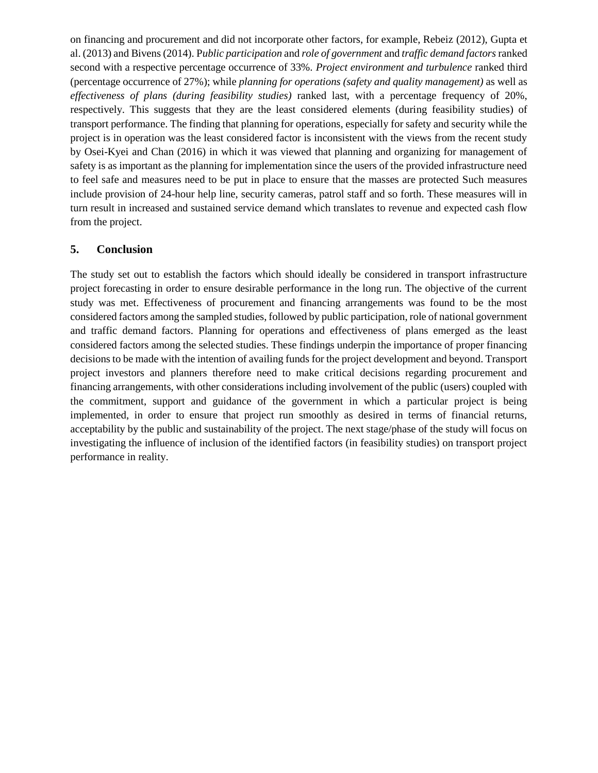on financing and procurement and did not incorporate other factors, for example, Rebeiz (2012), Gupta et al. (2013) and Bivens (2014). P*ublic participation* and *role of government* and *traffic demand factors* ranked second with a respective percentage occurrence of 33%. *Project environment and turbulence* ranked third (percentage occurrence of 27%); while *planning for operations (safety and quality management)* as well as *effectiveness of plans (during feasibility studies)* ranked last, with a percentage frequency of 20%, respectively. This suggests that they are the least considered elements (during feasibility studies) of transport performance. The finding that planning for operations, especially for safety and security while the project is in operation was the least considered factor is inconsistent with the views from the recent study by Osei-Kyei and Chan (2016) in which it was viewed that planning and organizing for management of safety is as important as the planning for implementation since the users of the provided infrastructure need to feel safe and measures need to be put in place to ensure that the masses are protected Such measures include provision of 24-hour help line, security cameras, patrol staff and so forth. These measures will in turn result in increased and sustained service demand which translates to revenue and expected cash flow from the project.

### **5. Conclusion**

The study set out to establish the factors which should ideally be considered in transport infrastructure project forecasting in order to ensure desirable performance in the long run. The objective of the current study was met. Effectiveness of procurement and financing arrangements was found to be the most considered factors among the sampled studies, followed by public participation, role of national government and traffic demand factors. Planning for operations and effectiveness of plans emerged as the least considered factors among the selected studies. These findings underpin the importance of proper financing decisions to be made with the intention of availing funds for the project development and beyond. Transport project investors and planners therefore need to make critical decisions regarding procurement and financing arrangements, with other considerations including involvement of the public (users) coupled with the commitment, support and guidance of the government in which a particular project is being implemented, in order to ensure that project run smoothly as desired in terms of financial returns, acceptability by the public and sustainability of the project. The next stage/phase of the study will focus on investigating the influence of inclusion of the identified factors (in feasibility studies) on transport project performance in reality.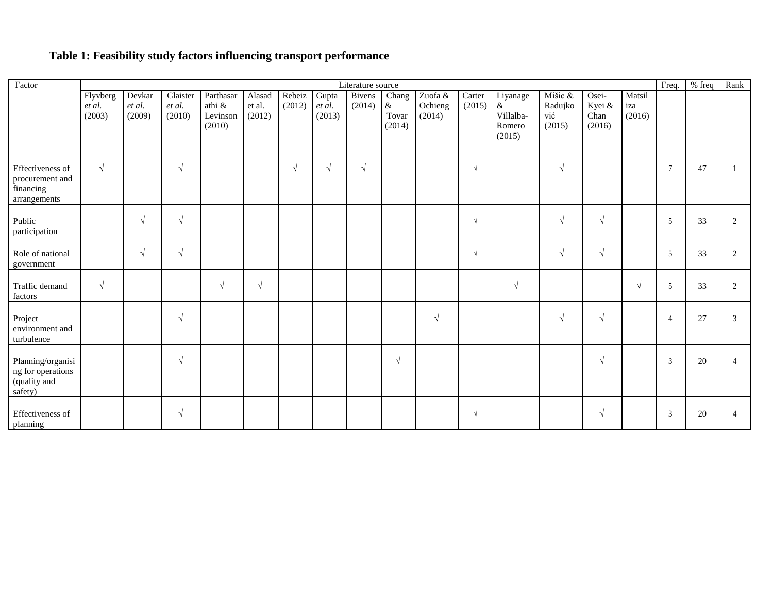## **Table 1: Feasibility study factors influencing transport performance**

| Factor                                                            | Literature source            |                            |                              |                                           |                            |                  |                           |                  |                               |                              |                  |                                                   |                                     |                                   |                         | Freq.           | % freq | Rank                     |
|-------------------------------------------------------------------|------------------------------|----------------------------|------------------------------|-------------------------------------------|----------------------------|------------------|---------------------------|------------------|-------------------------------|------------------------------|------------------|---------------------------------------------------|-------------------------------------|-----------------------------------|-------------------------|-----------------|--------|--------------------------|
|                                                                   | Flyvberg<br>et al.<br>(2003) | Devkar<br>et al.<br>(2009) | Glaister<br>et al.<br>(2010) | Parthasar<br>athi &<br>Levinson<br>(2010) | Alasad<br>et al.<br>(2012) | Rebeiz<br>(2012) | Gupta<br>et al.<br>(2013) | Bivens<br>(2014) | Chang<br>&<br>Tovar<br>(2014) | Zuofa &<br>Ochieng<br>(2014) | Carter<br>(2015) | Liyanage<br>$\&$<br>Villalba-<br>Romero<br>(2015) | Mišic &<br>Radujko<br>vić<br>(2015) | Osei-<br>Kyei &<br>Chan<br>(2016) | Matsil<br>iza<br>(2016) |                 |        |                          |
| Effectiveness of<br>procurement and<br>financing<br>arrangements  | $\sqrt{ }$                   |                            | $\sqrt{}$                    |                                           |                            | $\sqrt{ }$       | $\sqrt{ }$                | $\sqrt{ }$       |                               |                              | $\sqrt{ }$       |                                                   | $\sqrt{ }$                          |                                   |                         | $7\phantom{.0}$ | 47     |                          |
| Public<br>participation                                           |                              | $\sqrt{ }$                 | $\sqrt{ }$                   |                                           |                            |                  |                           |                  |                               |                              | $\sqrt{2}$       |                                                   | $\sqrt{ }$                          | $\sqrt{ }$                        |                         | 5               | 33     | 2                        |
| Role of national<br>government                                    |                              | $\sqrt{ }$                 | $\sqrt{ }$                   |                                           |                            |                  |                           |                  |                               |                              | $\sqrt{ }$       |                                                   | $\sqrt{ }$                          | $\sqrt{ }$                        |                         | 5               | 33     | 2                        |
| Traffic demand<br>factors                                         | $\sqrt{ }$                   |                            |                              | $\sqrt{ }$                                | $\sqrt{}$                  |                  |                           |                  |                               |                              |                  | $\sqrt{ }$                                        |                                     |                                   | $\sqrt{ }$              | 5               | 33     | 2                        |
| Project<br>environment and<br>turbulence                          |                              |                            | $\sqrt{ }$                   |                                           |                            |                  |                           |                  |                               | $\sqrt{ }$                   |                  |                                                   | $\sqrt{ }$                          | $\sqrt{ }$                        |                         | $\overline{4}$  | 27     | 3                        |
| Planning/organisi<br>ng for operations<br>(quality and<br>safety) |                              |                            | $\sqrt{ }$                   |                                           |                            |                  |                           |                  | $\sqrt{ }$                    |                              |                  |                                                   |                                     | $\sqrt{ }$                        |                         | 3               | 20     | $\overline{\mathcal{A}}$ |
| Effectiveness of<br>planning                                      |                              |                            | $\sqrt{ }$                   |                                           |                            |                  |                           |                  |                               |                              | $\sqrt{ }$       |                                                   |                                     | $\sqrt{ }$                        |                         | 3               | 20     | 4                        |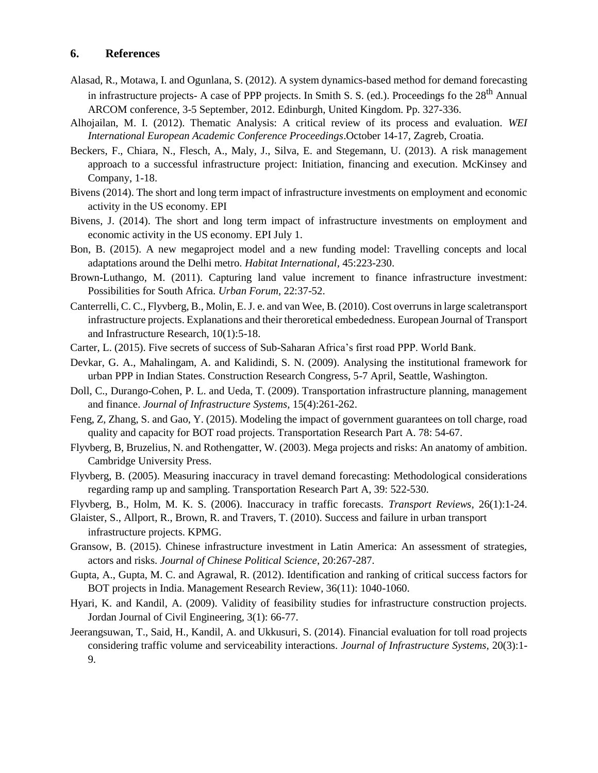### **6. References**

- Alasad, R., Motawa, I. and Ogunlana, S. (2012). A system dynamics-based method for demand forecasting in infrastructure projects- A case of PPP projects. In Smith S. S. (ed.). Proceedings fo the  $28<sup>th</sup>$  Annual ARCOM conference, 3-5 September, 2012. Edinburgh, United Kingdom. Pp. 327-336.
- Alhojailan, M. I. (2012). Thematic Analysis: A critical review of its process and evaluation. *WEI International European Academic Conference Proceedings*.October 14-17, Zagreb, Croatia.
- Beckers, F., Chiara, N., Flesch, A., Maly, J., Silva, E. and Stegemann, U. (2013). A risk management approach to a successful infrastructure project: Initiation, financing and execution. McKinsey and Company, 1-18.
- Bivens (2014). The short and long term impact of infrastructure investments on employment and economic activity in the US economy. EPI
- Bivens, J. (2014). The short and long term impact of infrastructure investments on employment and economic activity in the US economy. EPI July 1.
- Bon, B. (2015). A new megaproject model and a new funding model: Travelling concepts and local adaptations around the Delhi metro. *Habitat International,* 45:223-230.
- Brown-Luthango, M. (2011). Capturing land value increment to finance infrastructure investment: Possibilities for South Africa. *Urban Forum,* 22:37-52.
- Canterrelli, C. C., Flyvberg, B., Molin, E. J. e. and van Wee, B. (2010). Cost overruns in large scaletransport infrastructure projects. Explanations and their theroretical embededness. European Journal of Transport and Infrastructure Research, 10(1):5-18.
- Carter, L. (2015). Five secrets of success of Sub-Saharan Africa's first road PPP. World Bank.
- Devkar, G. A., Mahalingam, A. and Kalidindi, S. N. (2009). Analysing the institutional framework for urban PPP in Indian States. Construction Research Congress, 5-7 April, Seattle, Washington.
- Doll, C., Durango-Cohen, P. L. and Ueda, T. (2009). Transportation infrastructure planning, management and finance. *Journal of Infrastructure Systems*, 15(4):261-262.
- Feng, Z, Zhang, S. and Gao, Y. (2015). Modeling the impact of government guarantees on toll charge, road quality and capacity for BOT road projects. Transportation Research Part A. 78: 54-67.
- Flyvberg, B, Bruzelius, N. and Rothengatter, W. (2003). Mega projects and risks: An anatomy of ambition. Cambridge University Press.
- Flyvberg, B. (2005). Measuring inaccuracy in travel demand forecasting: Methodological considerations regarding ramp up and sampling. Transportation Research Part A, 39: 522-530.
- Flyvberg, B., Holm, M. K. S. (2006). Inaccuracy in traffic forecasts. *Transport Reviews*, 26(1):1-24.
- Glaister, S., Allport, R., Brown, R. and Travers, T. (2010). Success and failure in urban transport infrastructure projects. KPMG.
- Gransow, B. (2015). Chinese infrastructure investment in Latin America: An assessment of strategies, actors and risks. *Journal of Chinese Political Science*, 20:267-287.
- Gupta, A., Gupta, M. C. and Agrawal, R. (2012). Identification and ranking of critical success factors for BOT projects in India. Management Research Review, 36(11): 1040-1060.
- Hyari, K. and Kandil, A. (2009). Validity of feasibility studies for infrastructure construction projects. Jordan Journal of Civil Engineering, 3(1): 66-77.
- Jeerangsuwan, T., Said, H., Kandil, A. and Ukkusuri, S. (2014). Financial evaluation for toll road projects considering traffic volume and serviceability interactions. *Journal of Infrastructure Systems,* 20(3):1- 9.